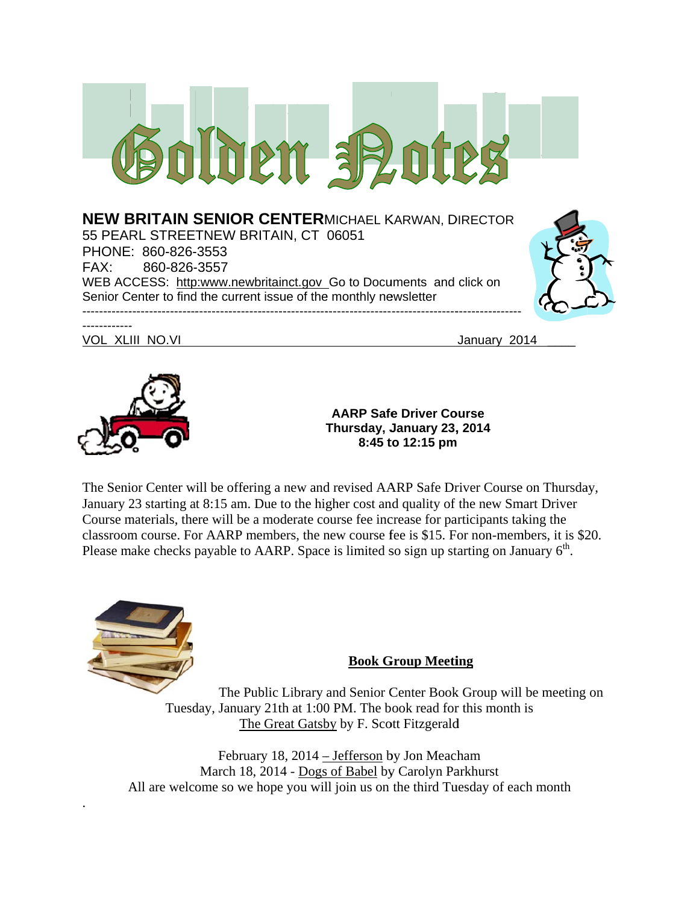



**T Thursday, J January 23, , 2014 AARP Safe e Driver Co ourse 8:45 t to 12:15 pm**

The Senior Center will be offering a new and revised AARP Safe Driver Course on Thursday, January 23 starting at 8:15 am. Due to the higher cost and quality of the new Smart Driver Course materials, there will be a moderate course fee increase for participants taking the classroom course. For AARP members, the new course fee is \$15. For non-members, it is \$20. Please make checks payable to AARP. Space is limited so sign up starting on January  $6<sup>th</sup>$ .



.

## **Book G Group Meeti ing**

Tuesday, January 21th at 1:00 PM. The book read for this month is The Public Library and Senior Center Book Group will be meeting on The Great Gatsby by F. Scott Fitzgerald

All are welcome so we hope you will join us on the third Tuesday of each month The Great Gatsby by F. Scott Fitzgerald<br>February 18, 2014 – Jefferson by Jon Meacham March 18, 2014 - Dogs of Babel by Carolyn Parkhurst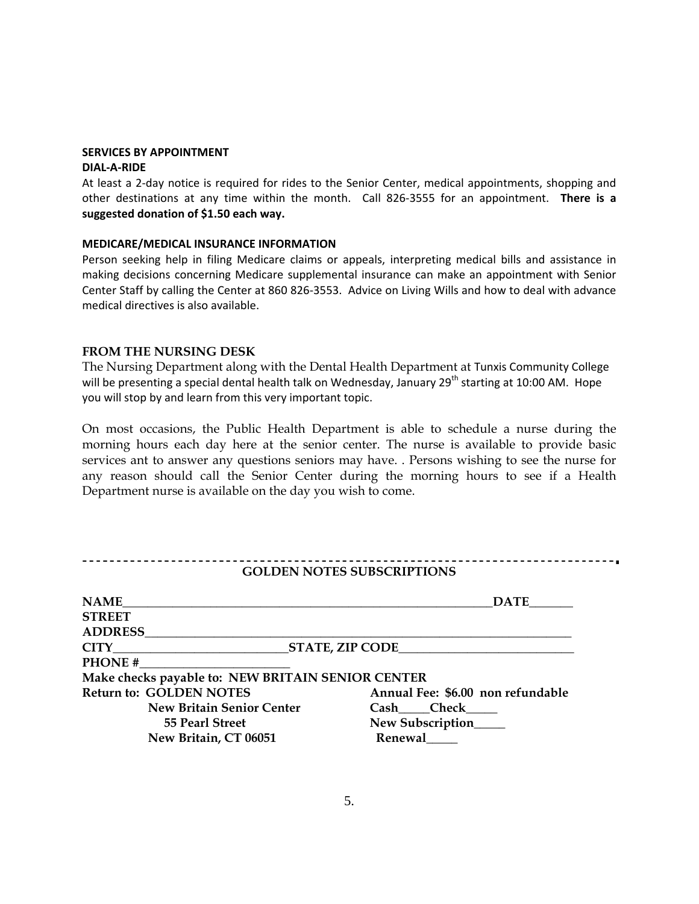#### **SERVICES BY APPOINTMENT DIAL‐A‐RIDE**

At least a 2‐day notice is required for rides to the Senior Center, medical appointments, shopping and other destinations at any time within the month. Call 826‐3555 for an appointment. **There is a suggested donation of \$1.50 each way.**

#### **MEDICARE/MEDICAL INSURANCE INFORMATION**

Person seeking help in filing Medicare claims or appeals, interpreting medical bills and assistance in making decisions concerning Medicare supplemental insurance can make an appointment with Senior Center Staff by calling the Center at 860 826‐3553. Advice on Living Wills and how to deal with advance medical directives is also available.

#### **FROM THE NURSING DESK**

The Nursing Department along with the Dental Health Department at Tunxis Community College will be presenting a special dental health talk on Wednesday, January 29<sup>th</sup> starting at 10:00 AM. Hope you will stop by and learn from this very important topic.

On most occasions, the Public Health Department is able to schedule a nurse during the morning hours each day here at the senior center. The nurse is available to provide basic services ant to answer any questions seniors may have. . Persons wishing to see the nurse for any reason should call the Senior Center during the morning hours to see if a Health Department nurse is available on the day you wish to come.

|                                                   | <b>GOLDEN NOTES SUBSCRIPTIONS</b> |
|---------------------------------------------------|-----------------------------------|
| <b>NAME</b>                                       | <b>DATE</b>                       |
| <b>STREET</b>                                     |                                   |
| <b>ADDRESS</b>                                    |                                   |
| CITY STATE, ZIP CODE                              |                                   |
| PHONE #                                           |                                   |
| Make checks payable to: NEW BRITAIN SENIOR CENTER |                                   |
| <b>Return to: GOLDEN NOTES</b>                    | Annual Fee: \$6.00 non refundable |
| <b>New Britain Senior Center</b>                  | Cash Check                        |
| 55 Pearl Street                                   | New Subscription                  |
| New Britain, CT 06051                             | Renewal                           |
|                                                   |                                   |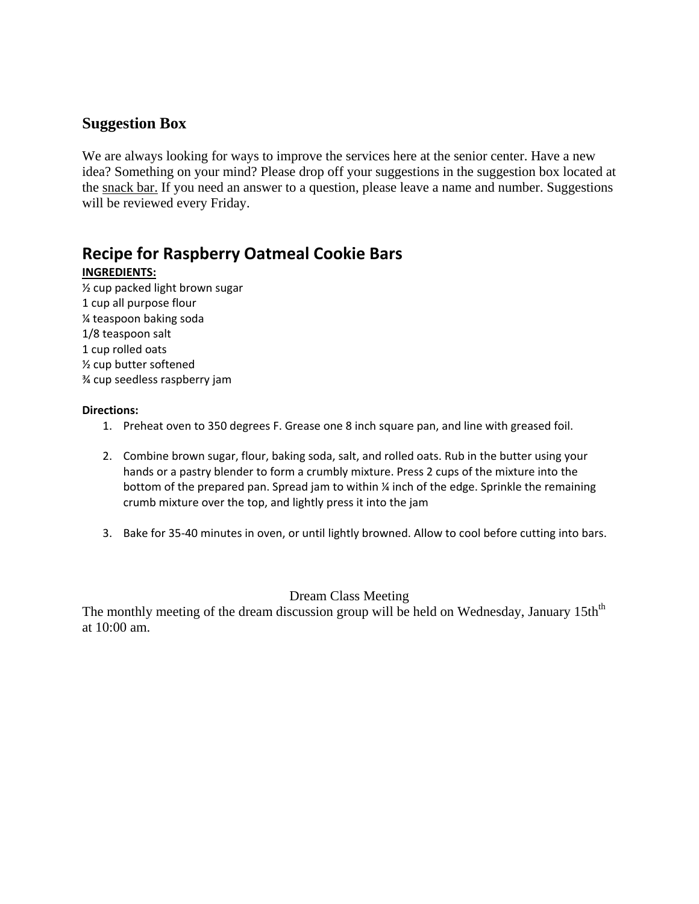# **Suggestion Box**

We are always looking for ways to improve the services here at the senior center. Have a new idea? Something on your mind? Please drop off your suggestions in the suggestion box located at the snack bar. If you need an answer to a question, please leave a name and number. Suggestions will be reviewed every Friday.

# **Recipe for Raspberry Oatmeal Cookie Bars**

## **INGREDIENTS:**

½ cup packed light brown sugar 1 cup all purpose flour ¼ teaspoon baking soda 1/8 teaspoon salt 1 cup rolled oats ½ cup butter softened ¾ cup seedless raspberry jam

#### **Directions:**

- 1. Preheat oven to 350 degrees F. Grease one 8 inch square pan, and line with greased foil.
- 2. Combine brown sugar, flour, baking soda, salt, and rolled oats. Rub in the butter using your hands or a pastry blender to form a crumbly mixture. Press 2 cups of the mixture into the bottom of the prepared pan. Spread jam to within ¼ inch of the edge. Sprinkle the remaining crumb mixture over the top, and lightly press it into the jam
- 3. Bake for 35‐40 minutes in oven, or until lightly browned. Allow to cool before cutting into bars.

## Dream Class Meeting

The monthly meeting of the dream discussion group will be held on Wednesday, January 15th<sup>th</sup> at 10:00 am.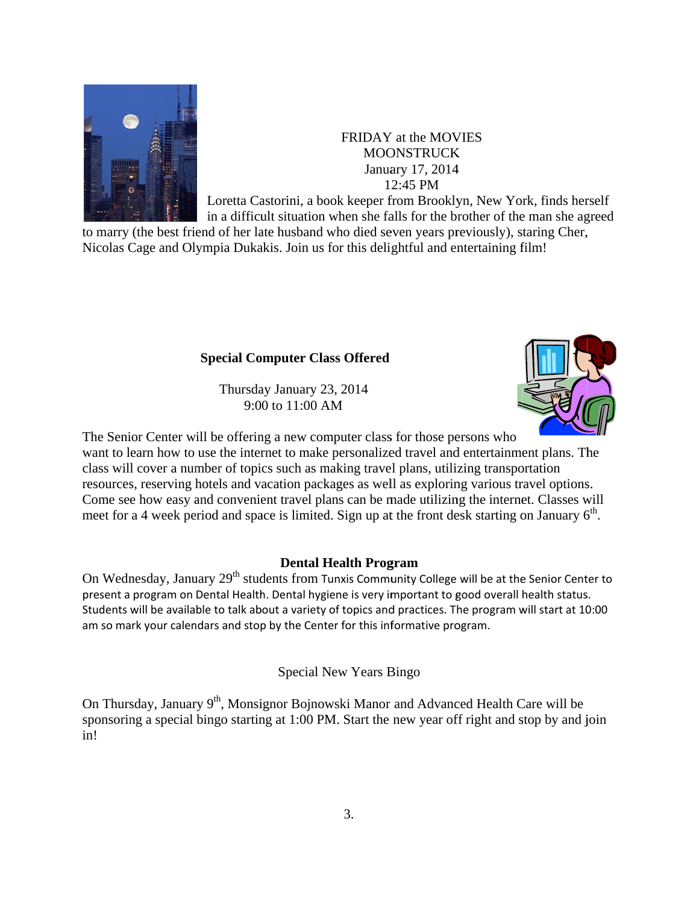

## FRIDAY at the MOVIES MOONSTRUCK MOONSTRUCK<br>January 17, 2014 12 2:45 PM

Loretta Castorini, a book keeper from Brooklyn, New York, finds herself in a difficult situation when she falls for the brother of the man she agreed

to marry (the best friend of her late husband who died seven years previously), staring Cher, Nicolas Cage and Olympia Dukakis. Join us for this delightful and entertaining film!

## **Special Computer Class Offered**

Thursda ay January 2 23, 2014 9:0 00 to 11:00 A AM



The Senior Center will be offering a new computer class for those persons who want to learn how to use the internet to make personalized travel and entertainment plans. Th class will cover a number of topics such as making travel plans, utilizing transportation resources, reserving hotels and vacation packages as well as exploring various travel options. Come see how easy and convenient travel plans can be made utilizing the internet. Classes will meet for a 4 week period and space is limited. Sign up at the front desk starting on January  $6<sup>th</sup>$ .

## **Dental Health Program**

On Wednesday, January 29<sup>th</sup> students from Tunxis Community College will be at the Senior Center to present a program on Dental Health. Dental hygiene is very important to good overall health status. Students will be available to talk about a variety of topics and practices. The program will start at 10:00 am so mark your calendars and stop by the Center for this informative program.

Special N New Years B Bingo

On Thursday, January 9<sup>th</sup>, Monsignor Bojnowski Manor and Advanced Health Care will be sponsoring a special bingo starting at 1:00 PM. Start the new year off right and stop by and join in!